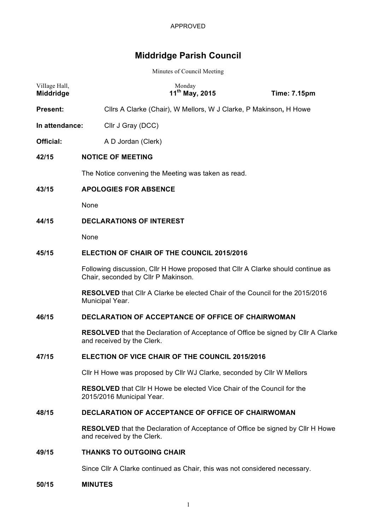# **Middridge Parish Council**

Minutes of Council Meeting

| Village Hall,<br>Middridge |                                                                                                                         | Monday<br>$11^{th}$ May, 2015                                                                                         | <b>Time: 7.15pm</b> |  |  |
|----------------------------|-------------------------------------------------------------------------------------------------------------------------|-----------------------------------------------------------------------------------------------------------------------|---------------------|--|--|
| <b>Present:</b>            |                                                                                                                         | Cllrs A Clarke (Chair), W Mellors, W J Clarke, P Makinson, H Howe                                                     |                     |  |  |
| In attendance:             |                                                                                                                         | Cllr J Gray (DCC)                                                                                                     |                     |  |  |
| <b>Official:</b>           |                                                                                                                         | A D Jordan (Clerk)                                                                                                    |                     |  |  |
| 42/15                      |                                                                                                                         | <b>NOTICE OF MEETING</b>                                                                                              |                     |  |  |
|                            | The Notice convening the Meeting was taken as read.                                                                     |                                                                                                                       |                     |  |  |
| 43/15                      | <b>APOLOGIES FOR ABSENCE</b>                                                                                            |                                                                                                                       |                     |  |  |
|                            | None                                                                                                                    |                                                                                                                       |                     |  |  |
| 44/15                      |                                                                                                                         | <b>DECLARATIONS OF INTEREST</b>                                                                                       |                     |  |  |
|                            | None                                                                                                                    |                                                                                                                       |                     |  |  |
| 45/15                      | <b>ELECTION OF CHAIR OF THE COUNCIL 2015/2016</b>                                                                       |                                                                                                                       |                     |  |  |
|                            | Following discussion, Cllr H Howe proposed that Cllr A Clarke should continue as<br>Chair, seconded by Cllr P Makinson. |                                                                                                                       |                     |  |  |
|                            |                                                                                                                         | <b>RESOLVED</b> that Cllr A Clarke be elected Chair of the Council for the 2015/2016<br>Municipal Year.               |                     |  |  |
| 46/15                      | <b>DECLARATION OF ACCEPTANCE OF OFFICE OF CHAIRWOMAN</b>                                                                |                                                                                                                       |                     |  |  |
|                            |                                                                                                                         | <b>RESOLVED</b> that the Declaration of Acceptance of Office be signed by Cllr A Clarke<br>and received by the Clerk. |                     |  |  |
| 47/15                      |                                                                                                                         | ELECTION OF VICE CHAIR OF THE COUNCIL 2015/2016                                                                       |                     |  |  |
|                            |                                                                                                                         | Cllr H Howe was proposed by Cllr WJ Clarke, seconded by Cllr W Mellors                                                |                     |  |  |
|                            |                                                                                                                         | <b>RESOLVED</b> that Cllr H Howe be elected Vice Chair of the Council for the<br>2015/2016 Municipal Year.            |                     |  |  |
| 48/15                      |                                                                                                                         | DECLARATION OF ACCEPTANCE OF OFFICE OF CHAIRWOMAN                                                                     |                     |  |  |
|                            |                                                                                                                         | <b>RESOLVED</b> that the Declaration of Acceptance of Office be signed by Cllr H Howe<br>and received by the Clerk.   |                     |  |  |
| 49/15                      | <b>THANKS TO OUTGOING CHAIR</b>                                                                                         |                                                                                                                       |                     |  |  |
|                            |                                                                                                                         | Since Cllr A Clarke continued as Chair, this was not considered necessary.                                            |                     |  |  |
|                            |                                                                                                                         |                                                                                                                       |                     |  |  |

**50/15 MINUTES**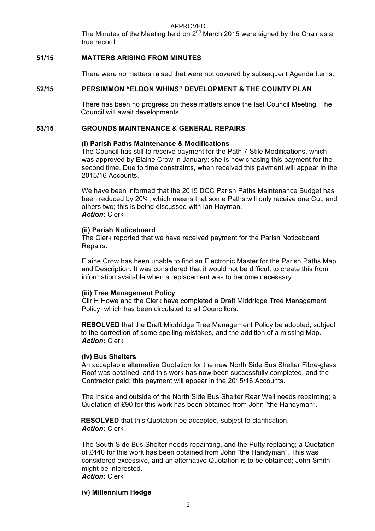APPROVED

The Minutes of the Meeting held on  $2^{nd}$  March 2015 were signed by the Chair as a true record.

# **51/15 MATTERS ARISING FROM MINUTES**

There were no matters raised that were not covered by subsequent Agenda Items.

# **52/15 PERSIMMON "ELDON WHINS" DEVELOPMENT & THE COUNTY PLAN**

There has been no progress on these matters since the last Council Meeting. The Council will await developments.

# **53/15 GROUNDS MAINTENANCE & GENERAL REPAIRS**

# **(i) Parish Paths Maintenance & Modifications**

The Council has still to receive payment for the Path 7 Stile Modifications, which was approved by Elaine Crow in January; she is now chasing this payment for the second time. Due to time constraints, when received this payment will appear in the 2015/16 Accounts.

We have been informed that the 2015 DCC Parish Paths Maintenance Budget has been reduced by 20%, which means that some Paths will only receive one Cut, and others two; this is being discussed with Ian Hayman. *Action:* Clerk

# **(ii) Parish Noticeboard**

The Clerk reported that we have received payment for the Parish Noticeboard Repairs.

Elaine Crow has been unable to find an Electronic Master for the Parish Paths Map and Description. It was considered that it would not be difficult to create this from information available when a replacement was to become necessary.

# **(iii) Tree Management Policy**

Cllr H Howe and the Clerk have completed a Draft Middridge Tree Management Policy, which has been circulated to all Councillors.

**RESOLVED** that the Draft Middridge Tree Management Policy be adopted, subject to the correction of some spelling mistakes, and the addition of a missing Map. *Action:* Clerk

# **(iv) Bus Shelters**

An acceptable alternative Quotation for the new North Side Bus Shelter Fibre-glass Roof was obtained, and this work has now been successfully completed, and the Contractor paid; this payment will appear in the 2015/16 Accounts.

The inside and outside of the North Side Bus Shelter Rear Wall needs repainting; a Quotation of £90 for this work has been obtained from John "the Handyman".

**RESOLVED** that this Quotation be accepted, subject to clarification. *Action:* Clerk

The South Side Bus Shelter needs repainting, and the Putty replacing; a Quotation of £440 for this work has been obtained from John "the Handyman". This was considered excessive, and an alternative Quotation is to be obtained; John Smith might be interested.

# *Action:* Clerk

# **(v) Millennium Hedge**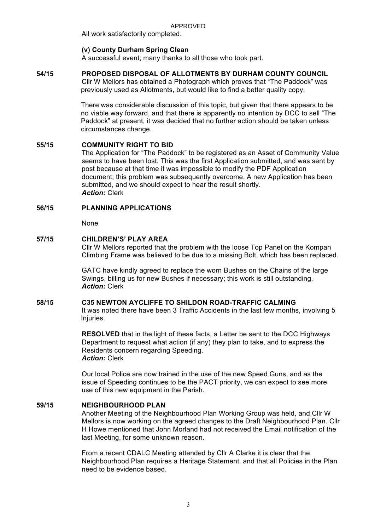All work satisfactorily completed.

# **(v) County Durham Spring Clean**

A successful event; many thanks to all those who took part.

# **54/15 PROPOSED DISPOSAL OF ALLOTMENTS BY DURHAM COUNTY COUNCIL**

Cllr W Mellors has obtained a Photograph which proves that "The Paddock" was previously used as Allotments, but would like to find a better quality copy.

There was considerable discussion of this topic, but given that there appears to be no viable way forward, and that there is apparently no intention by DCC to sell "The Paddock" at present, it was decided that no further action should be taken unless circumstances change.

# **55/15 COMMUNITY RIGHT TO BID**

The Application for "The Paddock" to be registered as an Asset of Community Value seems to have been lost. This was the first Application submitted, and was sent by post because at that time it was impossible to modify the PDF Application document; this problem was subsequently overcome. A new Application has been submitted, and we should expect to hear the result shortly. *Action:* Clerk

# **56/15 PLANNING APPLICATIONS**

None

# **57/15 CHILDREN'S' PLAY AREA**

Cllr W Mellors reported that the problem with the loose Top Panel on the Kompan Climbing Frame was believed to be due to a missing Bolt, which has been replaced.

GATC have kindly agreed to replace the worn Bushes on the Chains of the large Swings, billing us for new Bushes if necessary; this work is still outstanding. *Action:* Clerk

# **58/15 C35 NEWTON AYCLIFFE TO SHILDON ROAD-TRAFFIC CALMING**

It was noted there have been 3 Traffic Accidents in the last few months, involving 5 Injuries.

**RESOLVED** that in the light of these facts, a Letter be sent to the DCC Highways Department to request what action (if any) they plan to take, and to express the Residents concern regarding Speeding. *Action:* Clerk

Our local Police are now trained in the use of the new Speed Guns, and as the issue of Speeding continues to be the PACT priority, we can expect to see more use of this new equipment in the Parish.

# **59/15 NEIGHBOURHOOD PLAN**

Another Meeting of the Neighbourhood Plan Working Group was held, and Cllr W Mellors is now working on the agreed changes to the Draft Neighbourhood Plan. Cllr H Howe mentioned that John Morland had not received the Email notification of the last Meeting, for some unknown reason.

From a recent CDALC Meeting attended by Cllr A Clarke it is clear that the Neighbourhood Plan requires a Heritage Statement, and that all Policies in the Plan need to be evidence based.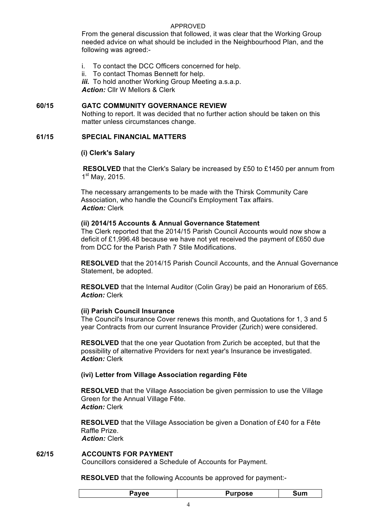# APPROVED

From the general discussion that followed, it was clear that the Working Group needed advice on what should be included in the Neighbourhood Plan, and the following was agreed:-

- i. To contact the DCC Officers concerned for help.
- ii. To contact Thomas Bennett for help.

*iii.* To hold another Working Group Meeting a.s.a.p. *Action:* Cllr W Mellors & Clerk

# **60/15 GATC COMMUNITY GOVERNANCE REVIEW**

Nothing to report. It was decided that no further action should be taken on this matter unless circumstances change.

#### **61/15 SPECIAL FINANCIAL MATTERS**

#### **(i) Clerk's Salary**

**RESOLVED** that the Clerk's Salary be increased by £50 to £1450 per annum from 1<sup>st</sup> May, 2015.

The necessary arrangements to be made with the Thirsk Community Care Association, who handle the Council's Employment Tax affairs. *Action:* Clerk

#### **(ii) 2014/15 Accounts & Annual Governance Statement**

The Clerk reported that the 2014/15 Parish Council Accounts would now show a deficit of £1,996.48 because we have not yet received the payment of £650 due from DCC for the Parish Path 7 Stile Modifications.

**RESOLVED** that the 2014/15 Parish Council Accounts, and the Annual Governance Statement, be adopted.

**RESOLVED** that the Internal Auditor (Colin Gray) be paid an Honorarium of £65. *Action:* Clerk

# **(ii) Parish Council Insurance**

The Council's Insurance Cover renews this month, and Quotations for 1, 3 and 5 year Contracts from our current Insurance Provider (Zurich) were considered.

**RESOLVED** that the one year Quotation from Zurich be accepted, but that the possibility of alternative Providers for next year's Insurance be investigated. *Action:* Clerk

# **(ivi) Letter from Village Association regarding Fête**

**RESOLVED** that the Village Association be given permission to use the Village Green for the Annual Village Fête. *Action:* Clerk

**RESOLVED** that the Village Association be given a Donation of £40 for a Fête Raffle Prize. *Action:* Clerk

# **62/15 ACCOUNTS FOR PAYMENT**

Councillors considered a Schedule of Accounts for Payment.

**RESOLVED** that the following Accounts be approved for payment:-

| <b>Payee</b> | <b>Purpose</b> | Sum |
|--------------|----------------|-----|
|--------------|----------------|-----|